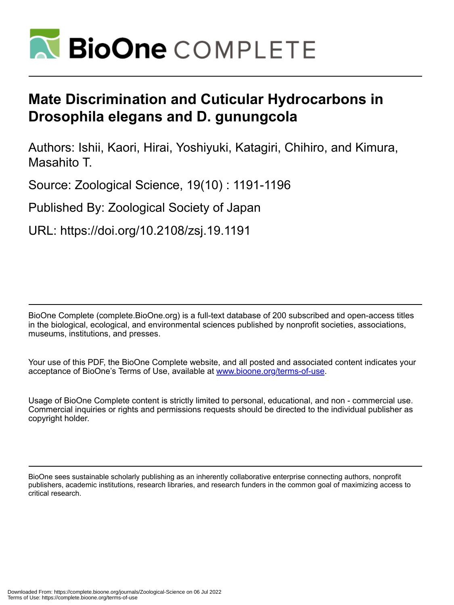

# **Mate Discrimination and Cuticular Hydrocarbons in Drosophila elegans and D. gunungcola**

Authors: Ishii, Kaori, Hirai, Yoshiyuki, Katagiri, Chihiro, and Kimura, Masahito T.

Source: Zoological Science, 19(10) : 1191-1196

Published By: Zoological Society of Japan

URL: https://doi.org/10.2108/zsj.19.1191

BioOne Complete (complete.BioOne.org) is a full-text database of 200 subscribed and open-access titles in the biological, ecological, and environmental sciences published by nonprofit societies, associations, museums, institutions, and presses.

Your use of this PDF, the BioOne Complete website, and all posted and associated content indicates your acceptance of BioOne's Terms of Use, available at www.bioone.org/terms-of-use.

Usage of BioOne Complete content is strictly limited to personal, educational, and non - commercial use. Commercial inquiries or rights and permissions requests should be directed to the individual publisher as copyright holder.

BioOne sees sustainable scholarly publishing as an inherently collaborative enterprise connecting authors, nonprofit publishers, academic institutions, research libraries, and research funders in the common goal of maximizing access to critical research.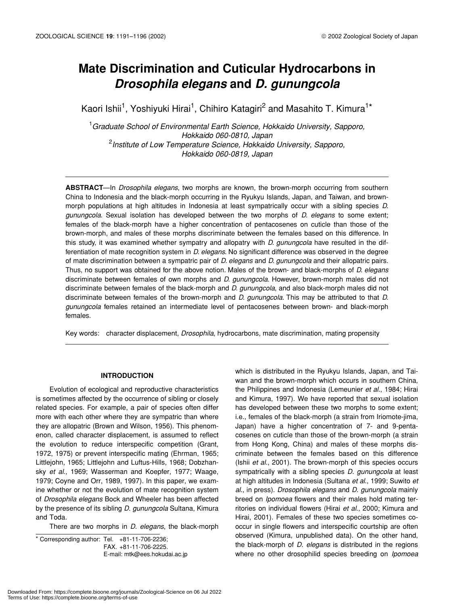# **Mate Discrimination and Cuticular Hydrocarbons in** *Drosophila elegans* **and** *D. gunungcola*

Kaori Ishii<sup>1</sup>, Yoshiyuki Hirai<sup>1</sup>, Chihiro Katagiri<sup>2</sup> and Masahito T. Kimura<sup>1\*</sup>

1 *Graduate School of Environmental Earth Science, Hokkaido University, Sapporo, Hokkaido 060-0810, Japan* 2 *Institute of Low Temperature Science, Hokkaido University, Sapporo, Hokkaido 060-0819, Japan*

**ABSTRACT**—In *Drosophila elegans*, two morphs are known, the brown-morph occurring from southern China to Indonesia and the black-morph occurring in the Ryukyu Islands, Japan, and Taiwan, and brownmorph populations at high altitudes in Indonesia at least sympatrically occur with a sibling species *D. gunungcola*. Sexual isolation has developed between the two morphs of *D. elegans* to some extent; females of the black-morph have a higher concentration of pentacosenes on cuticle than those of the brown-morph, and males of these morphs discriminate between the females based on this difference. In this study, it was examined whether sympatry and allopatry with *D. gunungcola* have resulted in the differentiation of mate recognition system in *D. elegans*. No significant difference was observed in the degree of mate discrimination between a sympatric pair of *D. elegans* and *D. gunungcola* and their allopatric pairs. Thus, no support was obtained for the above notion. Males of the brown- and black-morphs of *D*. *elegans* discriminate between females of own morphs and *D*. *gunungcola*. However, brown-morph males did not discriminate between females of the black-morph and *D*. *gunungcola*, and also black-morph males did not discriminate between females of the brown-morph and *D*. *gunungcola*. This may be attributed to that *D*. *gunungcola* females retained an intermediate level of pentacosenes between brown- and black-morph females.

Key words: character displacement, *Drosophila*, hydrocarbons, mate discrimination, mating propensity

# **INTRODUCTION**

Evolution of ecological and reproductive characteristics is sometimes affected by the occurrence of sibling or closely related species. For example, a pair of species often differ more with each other where they are sympatric than where they are allopatric (Brown and Wilson, 1956). This phenomenon, called character displacement, is assumed to reflect the evolution to reduce interspecific competition (Grant, 1972, 1975) or prevent interspecific mating (Ehrman, 1965; Littlejohn, 1965; Littlejohn and Luftus-Hills, 1968; Dobzhansky *et al*., 1969; Wasserman and Koepfer, 1977; Waage, 1979; Coyne and Orr, 1989, 1997). In this paper, we examine whether or not the evolution of mate recognition system of *Drosophila elegans* Bock and Wheeler has been affected by the presence of its sibling *D*. *gunungcola* Sultana, Kimura and Toda.

There are two morphs in *D*. *elegans*, the black-morph

 $*$  Corresponding author: Tel.  $+81-11-706-2236$ ; FAX. +81-11-706-2225. E-mail: mtk@ees.hokudai.ac.jp which is distributed in the Ryukyu Islands, Japan, and Taiwan and the brown-morph which occurs in southern China, the Philippines and Indonesia (Lemeunier *et al*., 1984; Hirai and Kimura, 1997). We have reported that sexual isolation has developed between these two morphs to some extent; i.e., females of the black-morph (a strain from Iriomote-jima, Japan) have a higher concentration of 7- and 9-pentacosenes on cuticle than those of the brown-morph (a strain from Hong Kong, China) and males of these morphs discriminate between the females based on this difference (Ishii *et al*., 2001). The brown-morph of this species occurs sympatrically with a sibling species *D*. *gunungcola* at least at high altitudes in Indonesia (Sultana *et al*., 1999; Suwito *et al*., in press). *Drosophila elegans* and *D*. *gunungcola* mainly breed on *Ipomoea* flowers and their males hold mating territories on individual flowers (Hirai *et al*., 2000; Kimura and Hirai, 2001). Females of these two species sometimes cooccur in single flowers and interspecific courtship are often observed (Kimura, unpublished data). On the other hand, the black-morph of *D*. *elegans* is distributed in the regions where no other drosophilid species breeding on *Ipomoea*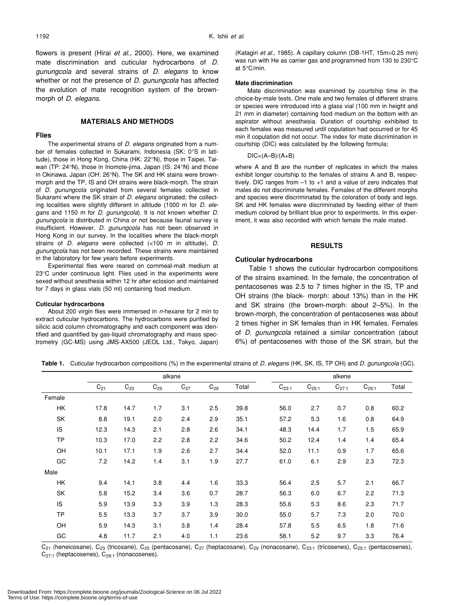flowers is present (Hirai *et al*., 2000). Here, we examined mate discrimination and cuticular hydrocarbons of *D*. *gunungcola* and several strains of *D*. *elegans* to know whether or not the presence of *D*. *gunungcola* has affected the evolution of mate recognition system of the brownmorph of *D*. *elegans*.

### **MATERIALS AND METHODS**

### **Flies**

The experimental strains of *D. elegans* originated from a number of females collected in Sukarami, Indonesia (SK: 0°S in latitude), those in Hong Kong, China (HK: 22°N), those in Taipei, Taiwan (TP: 24°N), those in Iriomote-jima, Japan (IS: 24°N) and those in Okinawa, Japan (OH: 26°N). The SK and HK stains were brownmorph and the TP, IS and OH strains were black-morph. The strain of *D. gunungcola* originated from several females collected in Sukarami where the SK strain of *D. elegans* originated; the collecting localities were slightly different in altitude (1000 m for *D. elegans* and 1150 m for *D. gunungcola*). It is not known whether *D. gunungcola* is distributed in China or not because faunal survey is insufficient. However, *D. gunungcola* has not been observed in Hong Kong in our survey. In the localities where the black-morph strains of *D. elegans* were collected (<100 m in altitude), *D. gunungcola* has not been recorded. These strains were maintained in the laboratory for few years before experiments.

Experimental flies were reared on cornmeal-malt medium at 23°C under continuous light. Flies used in the experiments were sexed without anesthesia within 12 hr after eclosion and maintained for 7 days in glass vials (50 ml) containing food medium.

#### **Cuticular hydrocarbons**

About 200 virgin flies were immersed in *n*-hexane for 2 min to extract cuticular hydrocarbons. The hydrocarbons were purified by silicic acid column chromatography and each component was identified and quantified by gas-liquid chromatography and mass spectrometry (GC-MS) using JMS-AX500 (JEOL Ltd., Tokyo, Japan) (Katagiri *et al*., 1985). A capillary column (DB-1HT, 15m×0.25 mm) was run with He as carrier gas and programmed from 130 to 230°C at 5°C/min.

#### **Mate discrimination**

Mate discrimination was examined by courtship time in the choice-by-male tests. One male and two females of different strains or species were introduced into a glass vial (100 mm in height and 21 mm in diameter) containing food medium on the bottom with an aspirator without anesthesia. Duration of courtship exhibited to each females was measured until copulation had occurred or for 45 min if copulation did not occur. The index for mate discrimination in courtship (DIC) was calculated by the following formula;

#### $DIC=(A-B)/(A+B)$

where A and B are the number of replicates in which the males exhibit longer courtship to the females of strains A and B, respectively. DIC ranges from –1 to +1 and a value of zero indicates that males do not discriminate females. Females of the different morphs and species were discriminated by the coloration of body and legs. SK and HK females were discriminated by feeding either of them medium colored by brilliant blue prior to experiments. In this experiment, it was also recorded with which female the male mated.

#### **RESULTS**

#### **Cuticular hydrocarbons**

Table 1 shows the cuticular hydrocarbon compositions of the strains examined. In the female, the concentration of pentacosenes was 2.5 to 7 times higher in the IS, TP and OH strains (the black- morph: about 13%) than in the HK and SK strains (the brown-morph: about 2–5%). In the brown-morph, the concentration of pentacosenes was about 2 times higher in SK females than in HK females. Females of *D*. *gunungcola* retained a similar concentration (about 6%) of pentacosenes with those of the SK strain, but the

**Table 1.** Cuticular hydrocarbon compositions (%) in the experimental strains of *D. elegans* (HK, SK, IS, TP OH) and *D. gunungcola* (GC).

|        |          | alkane   |          |          |          |       |            | alkene     |            |            |       |
|--------|----------|----------|----------|----------|----------|-------|------------|------------|------------|------------|-------|
|        | $C_{21}$ | $C_{23}$ | $C_{25}$ | $C_{27}$ | $C_{29}$ | Total | $C_{23:1}$ | $C_{25:1}$ | $C_{27:1}$ | $C_{29:1}$ | Total |
| Female |          |          |          |          |          |       |            |            |            |            |       |
| HK     | 17.8     | 14.7     | 1.7      | 3.1      | 2.5      | 39.8  | 56.0       | 2.7        | 0.7        | 0.8        | 60.2  |
| SK     | 8.8      | 19.1     | 2.0      | 2.4      | 2.9      | 35.1  | 57.2       | 5.3        | 1.6        | 0.8        | 64.9  |
| IS     | 12.3     | 14.3     | 2.1      | 2.8      | 2.6      | 34.1  | 48.3       | 14.4       | 1.7        | 1.5        | 65.9  |
| TP     | 10.3     | 17.0     | 2.2      | 2.8      | 2.2      | 34.6  | 50.2       | 12.4       | 1.4        | 1.4        | 65.4  |
| OH     | 10.1     | 17.1     | 1.9      | 2.6      | 2.7      | 34.4  | 52.0       | 11.1       | 0.9        | 1.7        | 65.6  |
| GC     | 7.2      | 14.2     | 1.4      | 3.1      | 1.9      | 27.7  | 61.0       | 6.1        | 2.9        | 2.3        | 72.3  |
| Male   |          |          |          |          |          |       |            |            |            |            |       |
| HK     | 9.4      | 14.1     | 3.8      | 4.4      | 1.6      | 33.3  | 56.4       | 2.5        | 5.7        | 2.1        | 66.7  |
| SK     | 5.8      | 15.2     | 3.4      | 3.6      | 0.7      | 28.7  | 56.3       | 6.0        | 6.7        | 2.2        | 71.3  |
| IS     | 5.9      | 13.9     | 3.3      | 3.9      | 1.3      | 28.3  | 55.6       | 5.3        | 8.6        | 2.3        | 71.7  |
| TP     | 5.5      | 13.3     | 3.7      | 3.7      | 3.9      | 30.0  | 55.0       | 5.7        | 7.3        | 2.0        | 70.0  |
| OH     | 5.9      | 14.3     | 3.1      | 3.8      | 1.4      | 28.4  | 57.8       | 5.5        | 6.5        | 1.8        | 71.6  |
| GC     | 4.8      | 11.7     | 2.1      | 4.0      | 1.1      | 23.6  | 58.1       | 5.2        | 9.7        | 3.3        | 76.4  |

 $C_{21}$  (heneicosane),  $C_{23}$  (tricosane),  $C_{25}$  (pentacosane),  $C_{27}$  (heptacosane),  $C_{29}$  (nonacosane),  $C_{23:1}$  (tricosenes),  $C_{25:1}$  (pentacosenes), C<sub>27:1</sub> (heptacosenes), C<sub>29:1</sub> (nonacosenes).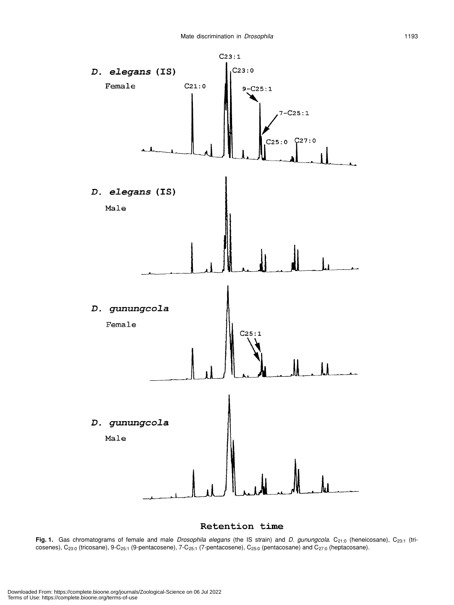

# Retention time

Fig. 1. Gas chromatograms of female and male *Drosophila elegans* (the IS strain) and *D. gunungcola*. C<sub>21:0</sub> (heneicosane), C<sub>23:1</sub> (tricosenes), C<sub>23:0</sub> (tricosane), 9-C<sub>25:1</sub> (9-pentacosene), 7-C<sub>25:1</sub> (7-pentacosene), C<sub>25:0</sub> (pentacosane) and C<sub>27:0</sub> (heptacosane).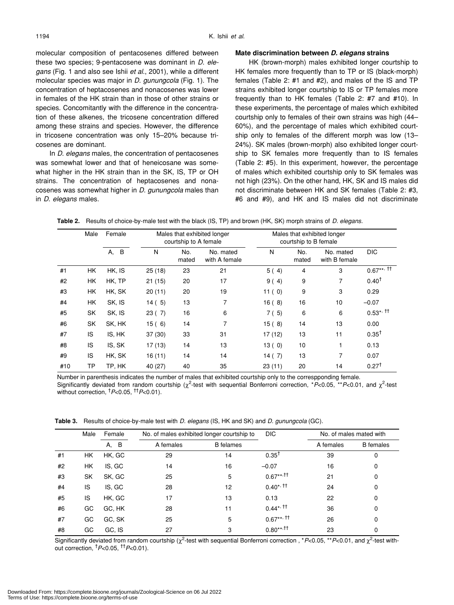molecular composition of pentacosenes differed between these two species; 9-pentacosene was dominant in *D*. *elegans* (Fig. 1 and also see Ishii *et al*., 2001), while a different molecular species was major in *D*. *gunungcola* (Fig. 1). The concentration of heptacosenes and nonacosenes was lower in females of the HK strain than in those of other strains or species. Concomitantly with the difference in the concentration of these alkenes, the tricosene concentration differed among these strains and species. However, the difference in tricosene concentration was only 15–20% because tricosenes are dominant.

In *D*. *elegans* males, the concentration of pentacosenes was somewhat lower and that of heneicosane was somewhat higher in the HK strain than in the SK, IS, TP or OH strains. The concentration of heptacosenes and nonacosenes was somewhat higher in *D*. *gunungcola* males than in *D*. *elegans* males.

#### **Mate discrimination between** *D. elegans* **strains**

HK (brown-morph) males exhibited longer courtship to HK females more frequently than to TP or IS (black-morph) females (Table 2: #1 and #2), and males of the IS and TP strains exhibited longer courtship to IS or TP females more frequently than to HK females (Table 2: #7 and #10). In these experiments, the percentage of males which exhibited courtship only to females of their own strains was high (44– 60%), and the percentage of males which exhibited courtship only to females of the different morph was low (13– 24%). SK males (brown-morph) also exhibited longer courtship to SK females more frequently than to IS females (Table 2: #5). In this experiment, however, the percentage of males which exhibited courtship only to SK females was not high (23%). On the other hand, HK, SK and IS males did not discriminate between HK and SK females (Table 2: #3, #6 and #9), and HK and IS males did not discriminate

**Table 2.** Results of choice-by-male test with the black (IS, TP) and brown (HK, SK) morph strains of *D. elegans.*

|     | Male      | Female  |         | courtship to A female | Males that exhibited longer |        | Males that exhibited longer<br>courtship to B female |                            |                         |  |
|-----|-----------|---------|---------|-----------------------|-----------------------------|--------|------------------------------------------------------|----------------------------|-------------------------|--|
|     |           | B<br>А, | N       | No.<br>mated          | No. mated<br>with A female  | N      | No.<br>mated                                         | No. mated<br>with B female | <b>DIC</b>              |  |
| #1  | HK.       | HK, IS  | 25(18)  | 23                    | 21                          | 5(4)   | 4                                                    | 3                          | $0.67***$ <sup>11</sup> |  |
| #2  | НK        | HK, TP  | 21(15)  | 20                    | 17                          | 9(4)   | 9                                                    | 7                          | $0.40^{\dagger}$        |  |
| #3  | НK        | HK, SK  | 20(11)  | 20                    | 19                          | 11(0)  | 9                                                    | 3                          | 0.29                    |  |
| #4  | HK.       | SK, IS  | 14(5)   | 13                    | 7                           | 16(8)  | 16                                                   | 10                         | $-0.07$                 |  |
| #5  | SK        | SK, IS  | 23(7)   | 16                    | 6                           | 7(5)   | 6                                                    | 6                          | $0.53$ *, <sup>††</sup> |  |
| #6  | <b>SK</b> | SK, HK  | 15(6)   | 14                    | 7                           | 15(8)  | 14                                                   | 13                         | 0.00                    |  |
| #7  | IS        | IS, HK  | 37(30)  | 33                    | 31                          | 17(12) | 13                                                   | 11                         | $0.35^{\dagger}$        |  |
| #8  | IS        | IS, SK  | 17(13)  | 14                    | 13                          | 13(0)  | 10                                                   | 1                          | 0.13                    |  |
| #9  | IS        | HK, SK  | 16(11)  | 14                    | 14                          | 14(7)  | 13                                                   | 7                          | 0.07                    |  |
| #10 | ТP        | TP, HK  | 40 (27) | 40                    | 35                          | 23(11) | 20                                                   | 14                         | $0.27^{\dagger}$        |  |

Number in parenthesis indicates the number of males that exhibited courtship only to the correspponding female. Significantly deviated from random courtship (χ<sup>2</sup>-test with sequential Bonferroni correction, \**P*<0.05, \*\**P*<0.01, and χ<sup>2</sup>-test without correction, † *P*<0.05, ††*P*<0.01).

**Table 3.** Results of choice-by-male test with *D. elegans* (IS, HK and SK) and *D. gunungcola* (GC).

|    | Male | Female | No. of males exhibited longer courtship to |                  | <b>DIC</b>                |           | No. of males mated with |  |  |
|----|------|--------|--------------------------------------------|------------------|---------------------------|-----------|-------------------------|--|--|
|    |      | A, B   | A females                                  | <b>B</b> felames |                           | A females | <b>B</b> females        |  |  |
| #1 | HК   | HK, GC | 29                                         | 14               | $0.35^{\dagger}$          | 39        | 0                       |  |  |
| #2 | HK   | IS, GC | 14                                         | 16               | $-0.07$                   | 16        | 0                       |  |  |
| #3 | SK   | SK, GC | 25                                         | 5                | $0.67***$ <sup>11</sup>   | 21        | 0                       |  |  |
| #4 | IS   | IS, GC | 28                                         | 12               | $0.40^{*,}$ <sup>11</sup> | 24        | 0                       |  |  |
| #5 | IS   | HK, GC | 17                                         | 13               | 0.13                      | 22        | 0                       |  |  |
| #6 | GC   | GC, HK | 28                                         | 11               | $0.44$ <sup>*, ††</sup>   | 36        | 0                       |  |  |
| #7 | GC   | GC, SK | 25                                         | 5                | $0.67***$ <sup>11</sup>   | 26        | 0                       |  |  |
| #8 | GC   | GC, IS | 27                                         | 3                | $0.80***$ <sup>11</sup>   | 23        | 0                       |  |  |

Significantly deviated from random courtship ( $\chi^2$ -test with sequential Bonferroni correction , \**P*<0.05, \*\**P*<0.01, and  $\chi^2$ -test without correction, † *P*<0.05, ††*P*<0.01).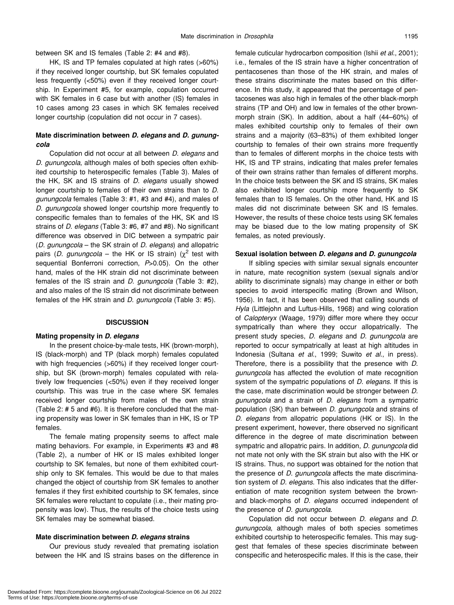between SK and IS females (Table 2: #4 and #8).

HK, IS and TP females copulated at high rates (>60%) if they received longer courtship, but SK females copulated less frequently (<50%) even if they received longer courtship. In Experiment #5, for example, copulation occurred with SK females in 6 case but with another (IS) females in 10 cases among 23 cases in which SK females received longer courtship (copulation did not occur in 7 cases).

# **Mate discrimination between** *D. elegans* **and** *D. gunungcola*

Copulation did not occur at all between *D*. *elegans* and *D*. *gunungcola*, although males of both species often exhibited courtship to heterospecific females (Table 3). Males of the HK, SK and IS strains of *D*. *elegans* usually showed longer courtship to females of their own strains than to *D*. *gunungcola* females (Table 3: #1, #3 and #4), and males of *D*. *gunungcola* showed longer courtship more frequently to conspecific females than to females of the HK, SK and IS strains of *D*. *elegans* (Table 3: #6, #7 and #8). No significant difference was observed in DIC between a sympatric pair (*D. gunungcola* – the SK strain of *D. elegans*) and allopatric pairs (*D. gunungcola* – the HK or IS strain) (χ<sup>2</sup> test with sequential Bonferroni correction, *P*>0.05). On the other hand, males of the HK strain did not discriminate between females of the IS strain and *D*. *gunungcola* (Table 3: #2), and also males of the IS strain did not discriminate between females of the HK strain and *D*. *gunungcola* (Table 3: #5).

#### **DISCUSSION**

# **Mating propensity in** *D. elegans*

In the present choice-by-male tests, HK (brown-morph), IS (black-morph) and TP (black morph) females copulated with high frequencies (>60%) if they received longer courtship, but SK (brown-morph) females copulated with relatively low frequencies (<50%) even if they received longer courtship. This was true in the case where SK females received longer courtship from males of the own strain (Table 2: # 5 and #6). It is therefore concluded that the mating propensity was lower in SK females than in HK, IS or TP females.

The female mating propensity seems to affect male mating behaviors. For example, in Experiments #3 and #8 (Table 2), a number of HK or IS males exhibited longer courtship to SK females, but none of them exhibited courtship only to SK females. This would be due to that males changed the object of courtship from SK females to another females if they first exhibited courtship to SK females, since SK females were reluctant to copulate (i.e., their mating propensity was low). Thus, the results of the choice tests using SK females may be somewhat biased.

# **Mate discrimination between** *D. elegans* **strains**

Our previous study revealed that premating isolation between the HK and IS strains bases on the difference in female cuticular hydrocarbon composition (Ishii *et al*., 2001); i.e., females of the IS strain have a higher concentration of pentacosenes than those of the HK strain, and males of these strains discriminate the mates based on this difference. In this study, it appeared that the percentage of pentacosenes was also high in females of the other black-morph strains (TP and OH) and low in females of the other brownmorph strain (SK). In addition, about a half (44–60%) of males exhibited courtship only to females of their own strains and a majority (63–83%) of them exhibited longer courtship to females of their own strains more frequently than to females of different morphs in the choice tests with HK, IS and TP strains, indicating that males prefer females of their own strains rather than females of different morphs. In the choice tests between the SK and IS strains, SK males also exhibited longer courtship more frequently to SK females than to IS females. On the other hand, HK and IS males did not discriminate between SK and IS females. However, the results of these choice tests using SK females may be biased due to the low mating propensity of SK females, as noted previously.

# **Sexual isolation between** *D. elegans* **and** *D. gunungcola*

If sibling species with similar sexual signals encounter in nature, mate recognition system (sexual signals and/or ability to discriminate signals) may change in either or both species to avoid interspecific mating (Brown and Wilson, 1956). In fact, it has been observed that calling sounds of *Hyla* (Littlejohn and Luftus-Hills, 1968) and wing coloration of *Calopteryx* (Waage, 1979) differ more where they occur sympatrically than where they occur allopatrically. The present study species, *D*. *elegans* and *D*. *gunungcola* are reported to occur sympatrically at least at high altitudes in Indonesia (Sultana *et al*., 1999; Suwito *et al*., in press). Therefore, there is a possibility that the presence with *D*. *gunungcola* has affected the evolution of mate recognition system of the sympatric populations of *D. elegans*. If this is the case, mate discrimination would be stronger between *D*. *gunungcola* and a strain of *D*. *elegans* from a sympatric population (SK) than between *D*. *gunungcola* and strains of *D*. *elegans* from allopatric populations (HK or IS). In the present experiment, however, there observed no significant difference in the degree of mate discrimination between sympatric and allopatric pairs. In addition, *D*. *gunungcola* did not mate not only with the SK strain but also with the HK or IS strains. Thus, no support was obtained for the notion that the presence of *D. gunungcola* affects the mate discrimination system of *D. elegans*. This also indicates that the differentiation of mate recognition system between the brownand black-morphs of *D. elegans* occurred independent of the presence of *D. gunungcola*.

Copulation did not occur between *D*. *elegans* and *D*. *gunungcola*, although males of both species sometimes exhibited courtship to heterospecific females. This may suggest that females of these species discriminate between conspecific and heterospecific males. If this is the case, their